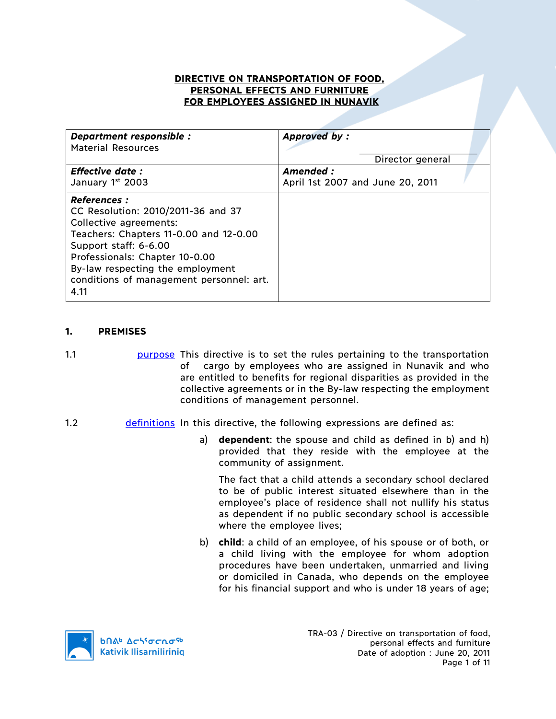## **DIRECTIVE ON TRANSPORTATION OF FOOD, PERSONAL EFFECTS AND FURNITURE FOR EMPLOYEES ASSIGNED IN NUNAVIK**

| Department responsible :<br><b>Material Resources</b>                                                                                                                                                                                                                            | Approved by:                                  |
|----------------------------------------------------------------------------------------------------------------------------------------------------------------------------------------------------------------------------------------------------------------------------------|-----------------------------------------------|
|                                                                                                                                                                                                                                                                                  | Director general                              |
| <b>Effective date:</b><br>January 1st 2003                                                                                                                                                                                                                                       | Amended :<br>April 1st 2007 and June 20, 2011 |
| <b>References :</b><br>CC Resolution: 2010/2011-36 and 37<br>Collective agreements:<br>Teachers: Chapters 11-0.00 and 12-0.00<br>Support staff: 6-6.00<br>Professionals: Chapter 10-0.00<br>By-law respecting the employment<br>conditions of management personnel: art.<br>4.11 |                                               |

## **1. PREMISES**

- 1.1 purpose This directive is to set the rules pertaining to the transportation of cargo by employees who are assigned in Nunavik and who are entitled to benefits for regional disparities as provided in the collective agreements or in the By-law respecting the employment conditions of management personnel.
- 1.2 definitions In this directive, the following expressions are defined as:
	- a) **dependent**: the spouse and child as defined in b) and h) provided that they reside with the employee at the community of assignment.

The fact that a child attends a secondary school declared to be of public interest situated elsewhere than in the employee's place of residence shall not nullify his status as dependent if no public secondary school is accessible where the employee lives;

b) **child**: a child of an employee, of his spouse or of both, or a child living with the employee for whom adoption procedures have been undertaken, unmarried and living or domiciled in Canada, who depends on the employee for his financial support and who is under 18 years of age;

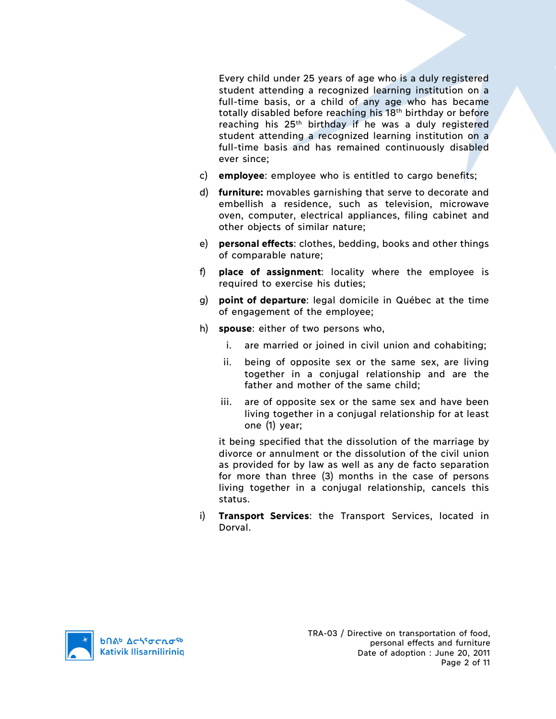Every child under 25 years of age who is a duly registered student attending a recognized learning institution on a full-time basis, or a child of any age who has became totally disabled before reaching his 18th birthday or before reaching his 25<sup>th</sup> birthday if he was a duly registered student attending a recognized learning institution on a full-time basis and has remained continuously disabled ever since;

- c) **employee**: employee who is entitled to cargo benefits;
- d) **furniture:** movables garnishing that serve to decorate and embellish a residence, such as television, microwave oven, computer, electrical appliances, filing cabinet and other objects of similar nature;
- e) **personal effects**: clothes, bedding, books and other things of comparable nature;
- f) **place of assignment**: locality where the employee is required to exercise his duties;
- g) **point of departure**: legal domicile in Québec at the time of engagement of the employee;
- h) **spouse**: either of two persons who,
	- i. are married or joined in civil union and cohabiting;
	- ii. being of opposite sex or the same sex, are living together in a conjugal relationship and are the father and mother of the same child;
	- iii. are of opposite sex or the same sex and have been living together in a conjugal relationship for at least one (1) year;

it being specified that the dissolution of the marriage by divorce or annulment or the dissolution of the civil union as provided for by law as well as any de facto separation for more than three (3) months in the case of persons living together in a conjugal relationship, cancels this status.

i) **Transport Services**: the Transport Services, located in Dorval.

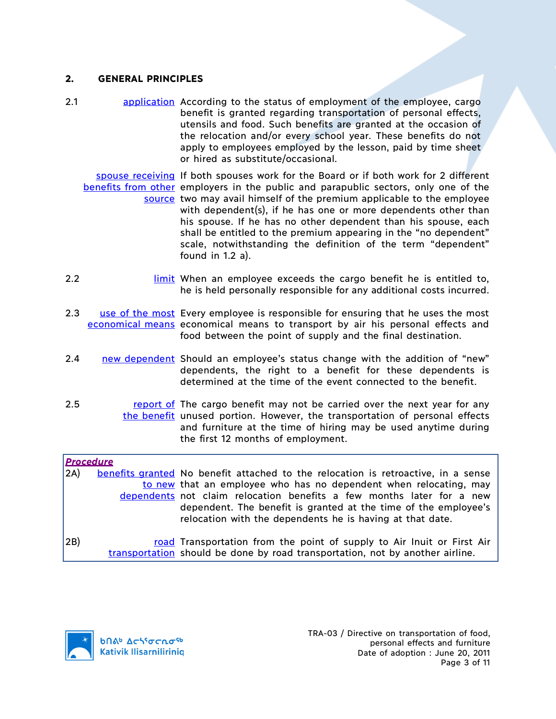### **2. GENERAL PRINCIPLES**

2.1 application According to the status of employment of the employee, cargo benefit is granted regarding transportation of personal effects, utensils and food. Such benefits are granted at the occasion of the relocation and/or every school year. These benefits do not apply to employees employed by the lesson, paid by time sheet or hired as substitute/occasional.

spouse receiving If both spouses work for the Board or if both work for 2 different benefits from other employers in the public and parapublic sectors, only one of the source two may avail himself of the premium applicable to the employee with dependent(s), if he has one or more dependents other than his spouse. If he has no other dependent than his spouse, each shall be entitled to the premium appearing in the "no dependent" scale, notwithstanding the definition of the term "dependent" found in 1.2 a).

- 2.2 **limit** When an employee exceeds the cargo benefit he is entitled to, he is held personally responsible for any additional costs incurred.
- 2.3 Luse of the most Every employee is responsible for ensuring that he uses the most economical means economical means to transport by air his personal effects and food between the point of supply and the final destination.
- 2.4 new dependent Should an employee's status change with the addition of "new" dependents, the right to a benefit for these dependents is determined at the time of the event connected to the benefit.
- 2.5 **report of The cargo benefit may not be carried over the next year for any** the benefit unused portion. However, the transportation of personal effects and furniture at the time of hiring may be used anytime during the first 12 months of employment.

*Procedure* 2A) benefits granted No benefit attached to the relocation is retroactive, in a sense to new that an employee who has no dependent when relocating, may dependents not claim relocation benefits a few months later for a new dependent. The benefit is granted at the time of the employee's relocation with the dependents he is having at that date. 2B) road Transportation from the point of supply to Air Inuit or First Air transportation should be done by road transportation, not by another airline.

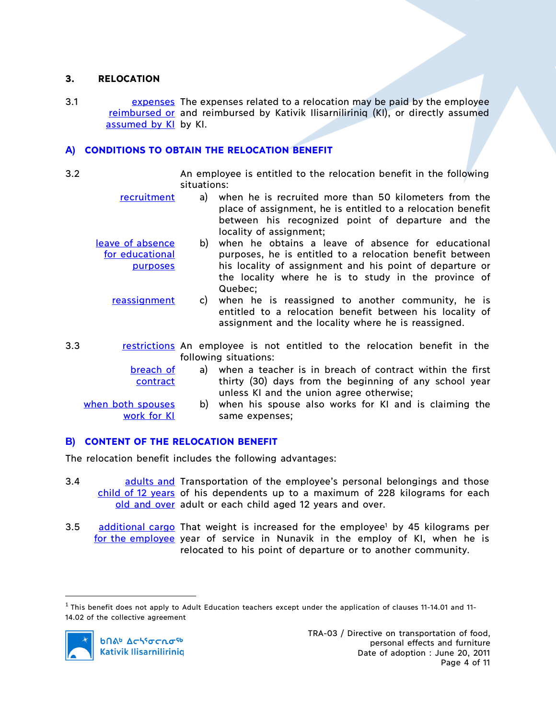## **3. RELOCATION**

3.1 **Expenses** The expenses related to a relocation may be paid by the employee reimbursed or and reimbursed by Kativik Ilisarniliriniq (KI), or directly assumed assumed by KI by KI.

# **A) CONDITIONS TO OBTAIN THE RELOCATION BENEFIT**

3.2 An employee is entitled to the relocation benefit in the following situations:

- recruitment a) when he is recruited more than 50 kilometers from the place of assignment, he is entitled to a relocation benefit between his recognized point of departure and the locality of assignment;
- leave of absence for educational purposes b) when he obtains a leave of absence for educational purposes, he is entitled to a relocation benefit between his locality of assignment and his point of departure or the locality where he is to study in the province of Quebec;
	- reassignment c) when he is reassigned to another community, he is entitled to a relocation benefit between his locality of assignment and the locality where he is reassigned.
- 3.3 **restrictions** An employee is not entitled to the relocation benefit in the following situations:

| breach of         | a) when a teacher is in breach of contract within the first |
|-------------------|-------------------------------------------------------------|
| contract          | thirty (30) days from the beginning of any school year      |
|                   | unless KI and the union agree otherwise;                    |
| when both spouses | b) when his spouse also works for KI and is claiming the    |
| work for KI       | same expenses:                                              |

# **B) CONTENT OF THE RELOCATION BENEFIT**

The relocation benefit includes the following advantages:

- 3.4 **and a adults and Transportation of the employee's personal belongings and those** child of 12 years of his dependents up to a maximum of 228 kilograms for each old and over adult or each child aged 12 years and over.
- 3.5 additional cargo That weight is increased for the employee<sup>1</sup> by 45 kilograms per for the employee year of service in Nunavik in the employ of KI, when he is relocated to his point of departure or to another community.

 $1$  This benefit does not apply to Adult Education teachers except under the application of clauses 11-14.01 and 11-14.02 of the collective agreement

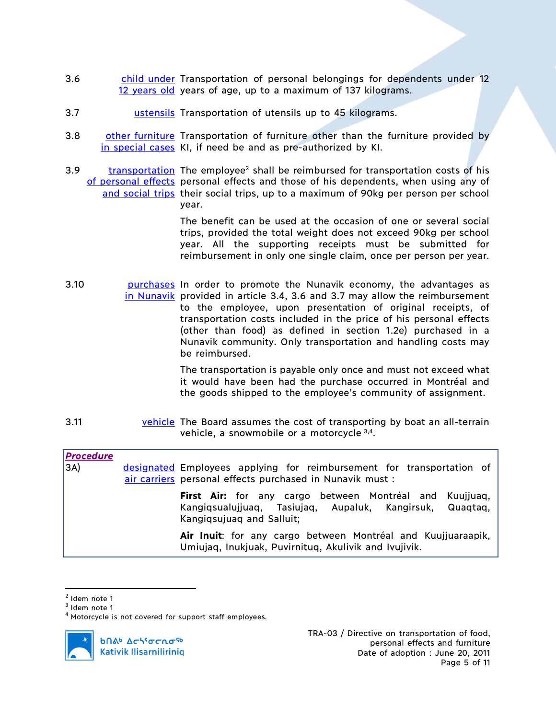- 3.6 child under Transportation of personal belongings for dependents under 12 12 years old years of age, up to a maximum of 137 kilograms.
- 3.7 ustensils Transportation of utensils up to 45 kilograms.
- 3.8 other furniture Transportation of furniture other than the furniture provided by in special cases KI, if need be and as pre-authorized by KI.
- 3.9 transportation The employee<sup>2</sup> shall be reimbursed for transportation costs of his of personal effects personal effects and those of his dependents, when using any of and social trips their social trips, up to a maximum of 90kg per person per school year.

The benefit can be used at the occasion of one or several social trips, provided the total weight does not exceed 90kg per school year. All the supporting receipts must be submitted for reimbursement in only one single claim, once per person per year.

3.10 **purchases** In order to promote the Nunavik economy, the advantages as in Nunavik provided in article 3.4, 3.6 and 3.7 may allow the reimbursement to the employee, upon presentation of original receipts, of transportation costs included in the price of his personal effects (other than food) as defined in section 1.2e) purchased in a Nunavik community. Only transportation and handling costs may be reimbursed.

> The transportation is payable only once and must not exceed what it would have been had the purchase occurred in Montréal and the goods shipped to the employee's community of assignment.

3.11 **vehicle** The Board assumes the cost of transporting by boat an all-terrain vehicle, a snowmobile or a motorcycle 3,4.

| <b>Procedure</b><br>3A) | designated Employees applying for reimbursement for transportation of<br>air carriers personal effects purchased in Nunavik must :                      |
|-------------------------|---------------------------------------------------------------------------------------------------------------------------------------------------------|
|                         | <b>First Air:</b> for any cargo between Montréal and Kuujjuag,<br>Kangiqsualujjuaq, Tasiujaq, Aupaluk, Kangirsuk, Quaqtaq,<br>Kangiqsujuaq and Salluit; |
|                         | Air Inuit: for any cargo between Montréal and Kuujjuaraapik,<br>Umiujag, Inukjuak, Puvirnitug, Akulivik and Ivujivik.                                   |

 $<sup>2</sup>$  Idem note 1</sup>

**b**በል<sup>b</sup> Δςιγσς κα<sup>ς 6</sup> **Kativik Ilisarniliriniq**  TRA-03 / Directive on transportation of food, personal effects and furniture Date of adoption : June 20, 2011 Page 5 of 11

 $3$  Idem note 1

<sup>&</sup>lt;sup>4</sup> Motorcycle is not covered for support staff employees.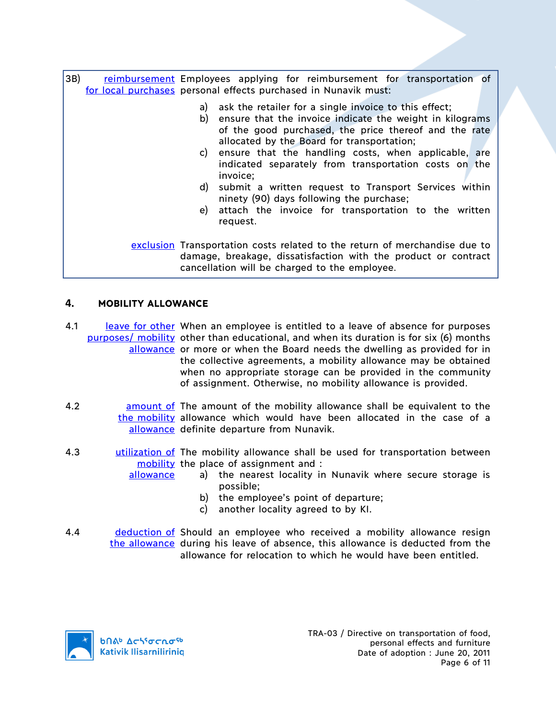3B) reimbursement Employees applying for reimbursement for transportation of for local purchases</u> personal effects purchased in Nunavik must: a) ask the retailer for a single invoice to this effect; b) ensure that the invoice indicate the weight in kilograms of the good purchased, the price thereof and the rate allocated by the Board for transportation; c) ensure that the handling costs, when applicable, are indicated separately from transportation costs on the invoice; d) submit a written request to Transport Services within ninety (90) days following the purchase; e) attach the invoice for transportation to the written request. exclusion Transportation costs related to the return of merchandise due to damage, breakage, dissatisfaction with the product or contract cancellation will be charged to the employee.

# **4. MOBILITY ALLOWANCE**

4.1 leave for other When an employee is entitled to a leave of absence for purposes purposes/ mobility other than educational, and when its duration is for six (6) months allowance or more or when the Board needs the dwelling as provided for in the collective agreements, a mobility allowance may be obtained when no appropriate storage can be provided in the community of assignment. Otherwise, no mobility allowance is provided.

- 4.2 **amount of The amount of the mobility allowance shall be equivalent to the** the mobility allowance which would have been allocated in the case of a allowance definite departure from Nunavik.
- 4.3 **utilization of** The mobility allowance shall be used for transportation between mobility the place of assignment and : allowance
	- a) the nearest locality in Nunavik where secure storage is possible;
		- b) the employee's point of departure;
		- c) another locality agreed to by KI.
- 4.4 **deduction of Should an employee who received a mobility allowance resign** the allowance during his leave of absence, this allowance is deducted from the allowance for relocation to which he would have been entitled.

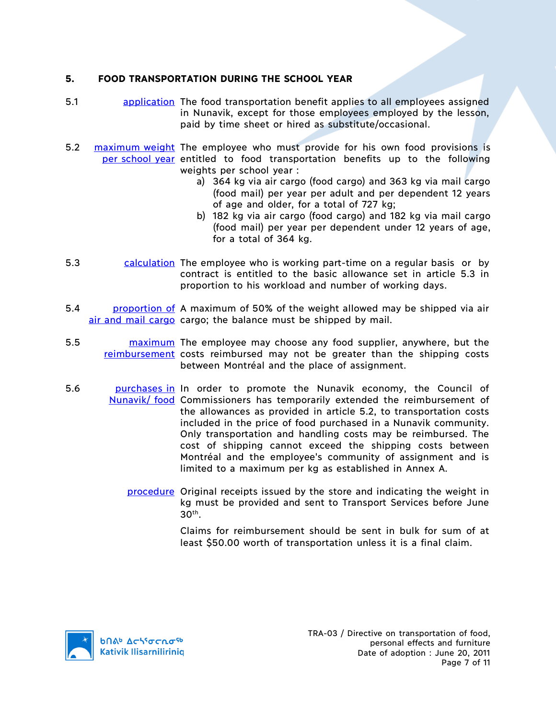# **5. FOOD TRANSPORTATION DURING THE SCHOOL YEAR**

- 5.1 application The food transportation benefit applies to all employees assigned in Nunavik, except for those employees employed by the lesson, paid by time sheet or hired as substitute/occasional.
- 5.2 maximum weight The employee who must provide for his own food provisions is per school year entitled to food transportation benefits up to the following weights per school year :
	- a) 364 kg via air cargo (food cargo) and 363 kg via mail cargo (food mail) per year per adult and per dependent 12 years of age and older, for a total of 727 kg;
	- b) 182 kg via air cargo (food cargo) and 182 kg via mail cargo (food mail) per year per dependent under 12 years of age, for a total of 364 kg.
- 5.3 calculation The employee who is working part-time on a regular basis or by contract is entitled to the basic allowance set in article 5.3 in proportion to his workload and number of working days.
- 5.4 **proportion of** A maximum of 50% of the weight allowed may be shipped via air air and mail cargo cargo; the balance must be shipped by mail.
- 5.5 **maximum** The employee may choose any food supplier, anywhere, but the reimbursement costs reimbursed may not be greater than the shipping costs between Montréal and the place of assignment.
- 5.6 **purchases in** In order to promote the Nunavik economy, the Council of Nunavik/ food Commissioners has temporarily extended the reimbursement of the allowances as provided in article 5.2, to transportation costs included in the price of food purchased in a Nunavik community. Only transportation and handling costs may be reimbursed. The cost of shipping cannot exceed the shipping costs between Montréal and the employee's community of assignment and is limited to a maximum per kg as established in Annex A.
	- procedure Original receipts issued by the store and indicating the weight in kg must be provided and sent to Transport Services before June  $30<sup>th</sup>$ .

Claims for reimbursement should be sent in bulk for sum of at least \$50.00 worth of transportation unless it is a final claim.

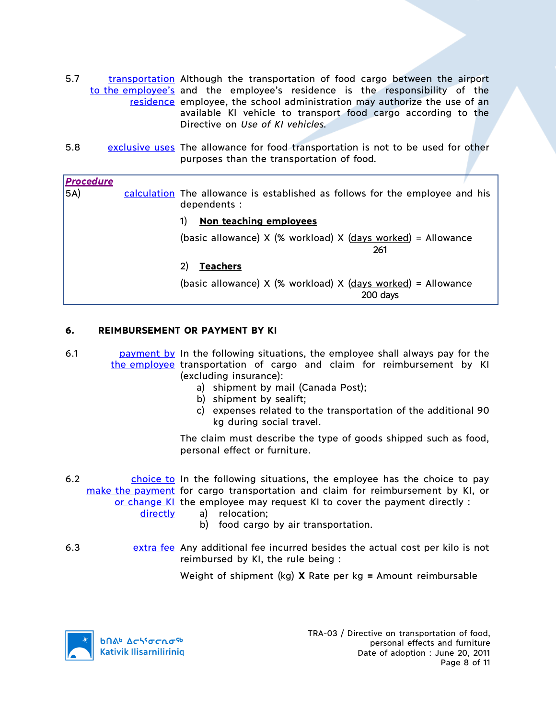- 5.7 transportation Although the transportation of food cargo between the airport to the employee's and the employee's residence is the responsibility of the residence employee, the school administration may authorize the use of an available KI vehicle to transport food cargo according to the Directive on *Use of KI vehicles.*
- 5.8 exclusive uses The allowance for food transportation is not to be used for other purposes than the transportation of food*.*

#### *Procedure*

5A) calculation The allowance is established as follows for the employee and his dependents :

### 1) **Non teaching employees**

(basic allowance)  $X$  (% workload)  $X$  (days worked) = Allowance 261

### 2) **Teachers**

(basic allowance)  $X$  (% workload)  $X$  (days worked) = Allowance 200 days

### **6. REIMBURSEMENT OR PAYMENT BY KI**

- 6.1 **payment by** In the following situations, the employee shall always pay for the the employee transportation of cargo and claim for reimbursement by KI (excluding insurance):
	- a) shipment by mail (Canada Post);
	- b) shipment by sealift;
	- c) expenses related to the transportation of the additional 90 kg during social travel.

The claim must describe the type of goods shipped such as food, personal effect or furniture.

6.2 choice to In the following situations, the employee has the choice to pay make the payment for cargo transportation and claim for reimbursement by KI, or or change KI the employee may request KI to cover the payment directly :

directly

- a) relocation;
- b) food cargo by air transportation.
- 6.3 extra fee Any additional fee incurred besides the actual cost per kilo is not reimbursed by KI, the rule being :

Weight of shipment (kg) **X** Rate per kg **=** Amount reimbursable

**b**በል<sup>b</sup> Δςιγσς κα<sup>ς 6</sup> **Kativik Ilisarniliriniq**  TRA-03 / Directive on transportation of food, personal effects and furniture Date of adoption : June 20, 2011 Page 8 of 11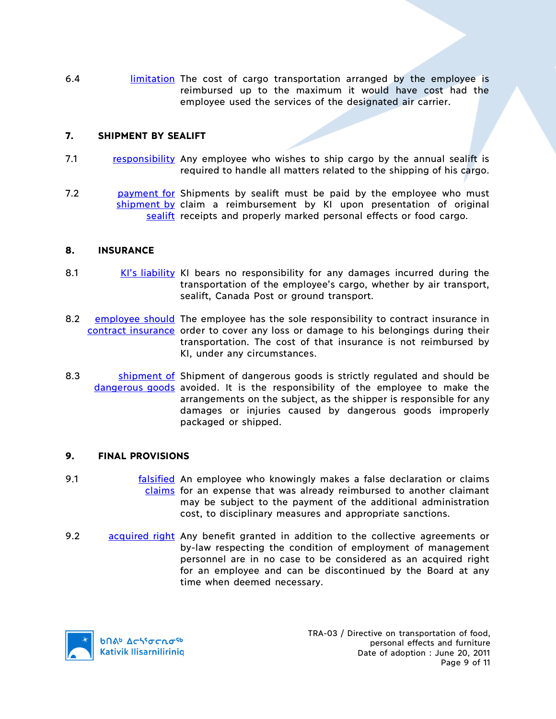6.4 **limitation** The cost of cargo transportation arranged by the employee is reimbursed up to the maximum it would have cost had the employee used the services of the designated air carrier.

### **7. SHIPMENT BY SEALIFT**

- 7.1 responsibility Any employee who wishes to ship cargo by the annual sealift is required to handle all matters related to the shipping of his cargo.
- 7.2 **payment for Shipments by sealift must be paid by the employee who must** shipment by claim a reimbursement by KI upon presentation of original sealift receipts and properly marked personal effects or food cargo.

### **8. INSURANCE**

- 8.1 KI's liability KI bears no responsibility for any damages incurred during the transportation of the employee's cargo, whether by air transport, sealift, Canada Post or ground transport.
- 8.2 employee should The employee has the sole responsibility to contract insurance in contract insurance order to cover any loss or damage to his belongings during their transportation. The cost of that insurance is not reimbursed by KI, under any circumstances.
- 8.3 Shipment of Shipment of dangerous goods is strictly regulated and should be dangerous goods avoided. It is the responsibility of the employee to make the arrangements on the subject, as the shipper is responsible for any damages or injuries caused by dangerous goods improperly packaged or shipped.

### **9. FINAL PROVISIONS**

- 9.1 **Falsified** An employee who knowingly makes a false declaration or claims claims for an expense that was already reimbursed to another claimant may be subject to the payment of the additional administration cost, to disciplinary measures and appropriate sanctions.
- 9.2 acquired right Any benefit granted in addition to the collective agreements or by-law respecting the condition of employment of management personnel are in no case to be considered as an acquired right for an employee and can be discontinued by the Board at any time when deemed necessary.

**b**Πል<sup>b</sup> Δςιγσς πο<sup>ς 6</sup> **Kativik Ilisarniliriniq**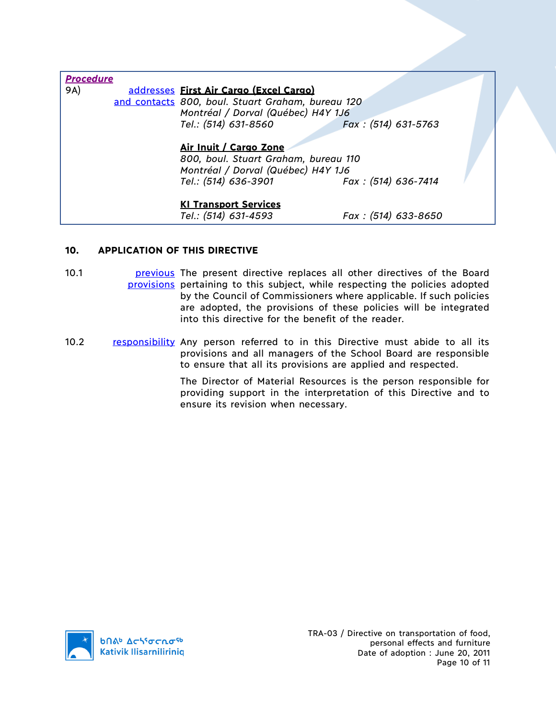| <b>Procedure</b> |                                                   |                     |  |  |
|------------------|---------------------------------------------------|---------------------|--|--|
| 9A)              | addresses First Air Cargo (Excel Cargo)           |                     |  |  |
|                  | and contacts 800, boul. Stuart Graham, bureau 120 |                     |  |  |
|                  | Montréal / Dorval (Québec) H4Y 1J6                |                     |  |  |
|                  | Tel.: (514) 631-8560                              | Fax: (514) 631-5763 |  |  |
|                  | Air Inuit / Cargo Zone                            |                     |  |  |
|                  | 800, boul. Stuart Graham, bureau 110              |                     |  |  |
|                  | Montréal / Dorval (Québec) H4Y 1J6                |                     |  |  |
|                  | Tel.: (514) 636-3901                              | Fax: (514) 636-7414 |  |  |
|                  | <b>KI Transport Services</b>                      |                     |  |  |
|                  | Tel.: (514) 631-4593                              | Fax: (514) 633-8650 |  |  |

# **10. APPLICATION OF THIS DIRECTIVE**

- 10.1 **previous** The present directive replaces all other directives of the Board provisions pertaining to this subject, while respecting the policies adopted by the Council of Commissioners where applicable. If such policies are adopted, the provisions of these policies will be integrated into this directive for the benefit of the reader.
- 10.2 responsibility Any person referred to in this Directive must abide to all its provisions and all managers of the School Board are responsible to ensure that all its provisions are applied and respected.

The Director of Material Resources is the person responsible for providing support in the interpretation of this Directive and to ensure its revision when necessary.